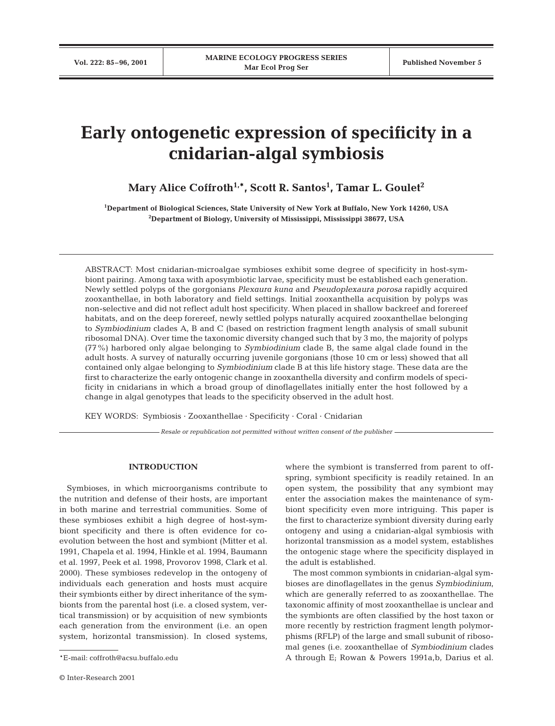# **Early ontogenetic expression of specificity in a cnidarian-algal symbiosis**

**Mary Alice Coffroth1,\*, Scott R. Santos1 , Tamar L. Goulet2**

**1 Department of Biological Sciences, State University of New York at Buffalo, New York 14260, USA 2 Department of Biology, University of Mississippi, Mississippi 38677, USA**

ABSTRACT: Most cnidarian-microalgae symbioses exhibit some degree of specificity in host-symbiont pairing. Among taxa with aposymbiotic larvae, specificity must be established each generation. Newly settled polyps of the gorgonians *Plexaura kuna* and *Pseudoplexaura porosa* rapidly acquired zooxanthellae, in both laboratory and field settings. Initial zooxanthella acquisition by polyps was non-selective and did not reflect adult host specificity. When placed in shallow backreef and forereef habitats, and on the deep forereef, newly settled polyps naturally acquired zooxanthellae belonging to *Symbiodinium* clades A, B and C (based on restriction fragment length analysis of small subunit ribosomal DNA). Over time the taxonomic diversity changed such that by 3 mo, the majority of polyps (77%) harbored only algae belonging to *Symbiodinium* clade B, the same algal clade found in the adult hosts. A survey of naturally occurring juvenile gorgonians (those 10 cm or less) showed that all contained only algae belonging to *Symbiodinium* clade B at this life history stage. These data are the first to characterize the early ontogenic change in zooxanthella diversity and confirm models of specificity in cnidarians in which a broad group of dinoflagellates initially enter the host followed by a change in algal genotypes that leads to the specificity observed in the adult host.

KEY WORDS: Symbiosis · Zooxanthellae · Specificity · Coral · Cnidarian

*Resale or republication not permitted without written consent of the publisher*

### **INTRODUCTION**

Symbioses, in which microorganisms contribute to the nutrition and defense of their hosts, are important in both marine and terrestrial communities. Some of these symbioses exhibit a high degree of host-symbiont specificity and there is often evidence for coevolution between the host and symbiont (Mitter et al. 1991, Chapela et al. 1994, Hinkle et al. 1994, Baumann et al. 1997, Peek et al. 1998, Provorov 1998, Clark et al. 2000). These symbioses redevelop in the ontogeny of individuals each generation and hosts must acquire their symbionts either by direct inheritance of the symbionts from the parental host (i.e. a closed system, vertical transmission) or by acquisition of new symbionts each generation from the environment (i.e. an open system, horizontal transmission). In closed systems,

where the symbiont is transferred from parent to offspring, symbiont specificity is readily retained. In an open system, the possibility that any symbiont may enter the association makes the maintenance of symbiont specificity even more intriguing. This paper is the first to characterize symbiont diversity during early ontogeny and using a cnidarian-algal symbiosis with horizontal transmission as a model system, establishes the ontogenic stage where the specificity displayed in the adult is established.

The most common symbionts in cnidarian-algal symbioses are dinoflagellates in the genus *Symbiodinium*, which are generally referred to as zooxanthellae. The taxonomic affinity of most zooxanthellae is unclear and the symbionts are often classified by the host taxon or more recently by restriction fragment length polymorphisms (RFLP) of the large and small subunit of ribosomal genes (i.e. zooxanthellae of *Symbiodinium* clades A through E; Rowan & Powers 1991a,b, Darius et al.

<sup>\*</sup>E-mail: coffroth@acsu.buffalo.edu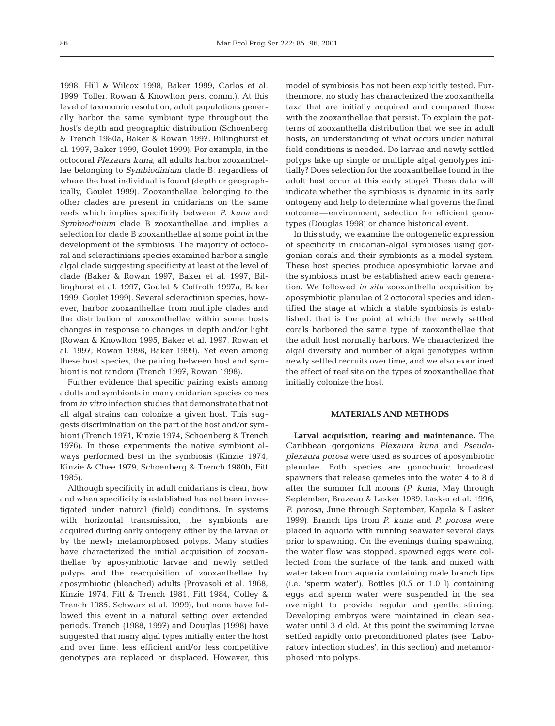1998, Hill & Wilcox 1998, Baker 1999, Carlos et al. 1999, Toller, Rowan & Knowlton pers. comm.). At this level of taxonomic resolution, adult populations generally harbor the same symbiont type throughout the host's depth and geographic distribution (Schoenberg & Trench 1980a, Baker & Rowan 1997, Billinghurst et al. 1997, Baker 1999, Goulet 1999). For example, in the octocoral *Plexaura kuna,* all adults harbor zooxanthellae belonging to *Symbiodinium* clade B, regardless of where the host individual is found (depth or geographically, Goulet 1999). Zooxanthellae belonging to the other clades are present in cnidarians on the same reefs which implies specificity between *P. kuna* and *Symbiodinium* clade B zooxanthellae and implies a selection for clade B zooxanthellae at some point in the development of the symbiosis. The majority of octocoral and scleractinians species examined harbor a single algal clade suggesting specificity at least at the level of clade (Baker & Rowan 1997, Baker et al. 1997, Billinghurst et al. 1997, Goulet & Coffroth 1997a, Baker 1999, Goulet 1999). Several scleractinian species, however, harbor zooxanthellae from multiple clades and the distribution of zooxanthellae within some hosts changes in response to changes in depth and/or light (Rowan & Knowlton 1995, Baker et al. 1997, Rowan et al. 1997, Rowan 1998, Baker 1999). Yet even among these host species, the pairing between host and symbiont is not random (Trench 1997, Rowan 1998).

Further evidence that specific pairing exists among adults and symbionts in many cnidarian species comes from *in vitro* infection studies that demonstrate that not all algal strains can colonize a given host. This suggests discrimination on the part of the host and/or symbiont (Trench 1971, Kinzie 1974, Schoenberg & Trench 1976). In those experiments the native symbiont always performed best in the symbiosis (Kinzie 1974, Kinzie & Chee 1979, Schoenberg & Trench 1980b, Fitt 1985).

Although specificity in adult cnidarians is clear, how and when specificity is established has not been investigated under natural (field) conditions. In systems with horizontal transmission, the symbionts are acquired during early ontogeny either by the larvae or by the newly metamorphosed polyps. Many studies have characterized the initial acquisition of zooxanthellae by aposymbiotic larvae and newly settled polyps and the reacquisition of zooxanthellae by aposymbiotic (bleached) adults (Provasoli et al. 1968, Kinzie 1974, Fitt & Trench 1981, Fitt 1984, Colley & Trench 1985, Schwarz et al. 1999), but none have followed this event in a natural setting over extended periods. Trench (1988, 1997) and Douglas (1998) have suggested that many algal types initially enter the host and over time, less efficient and/or less competitive genotypes are replaced or displaced. However, this model of symbiosis has not been explicitly tested. Furthermore, no study has characterized the zooxanthella taxa that are initially acquired and compared those with the zooxanthellae that persist. To explain the patterns of zooxanthella distribution that we see in adult hosts, an understanding of what occurs under natural field conditions is needed. Do larvae and newly settled polyps take up single or multiple algal genotypes initially? Does selection for the zooxanthellae found in the adult host occur at this early stage? These data will indicate whether the symbiosis is dynamic in its early ontogeny and help to determine what governs the final outcome—environment, selection for efficient genotypes (Douglas 1998) or chance historical event.

In this study, we examine the ontogenetic expression of specificity in cnidarian-algal symbioses using gorgonian corals and their symbionts as a model system. These host species produce aposymbiotic larvae and the symbiosis must be established anew each generation. We followed *in situ* zooxanthella acquisition by aposymbiotic planulae of 2 octocoral species and identified the stage at which a stable symbiosis is established, that is the point at which the newly settled corals harbored the same type of zooxanthellae that the adult host normally harbors. We characterized the algal diversity and number of algal genotypes within newly settled recruits over time, and we also examined the effect of reef site on the types of zooxanthellae that initially colonize the host.

# **MATERIALS AND METHODS**

**Larval acquisition, rearing and maintenance.** The Caribbean gorgonians *Plexaura kuna* and *Pseudoplexaura porosa* were used as sources of aposymbiotic planulae. Both species are gonochoric broadcast spawners that release gametes into the water 4 to 8 d after the summer full moons (*P. kuna*, May through September, Brazeau & Lasker 1989, Lasker et al. 1996; *P. porosa*, June through September, Kapela & Lasker 1999). Branch tips from *P. kuna* and *P. porosa* were placed in aquaria with running seawater several days prior to spawning. On the evenings during spawning, the water flow was stopped, spawned eggs were collected from the surface of the tank and mixed with water taken from aquaria containing male branch tips (i.e. 'sperm water'). Bottles (0.5 or 1.0 l) containing eggs and sperm water were suspended in the sea overnight to provide regular and gentle stirring. Developing embryos were maintained in clean seawater until 3 d old. At this point the swimming larvae settled rapidly onto preconditioned plates (see 'Laboratory infection studies', in this section) and metamorphosed into polyps.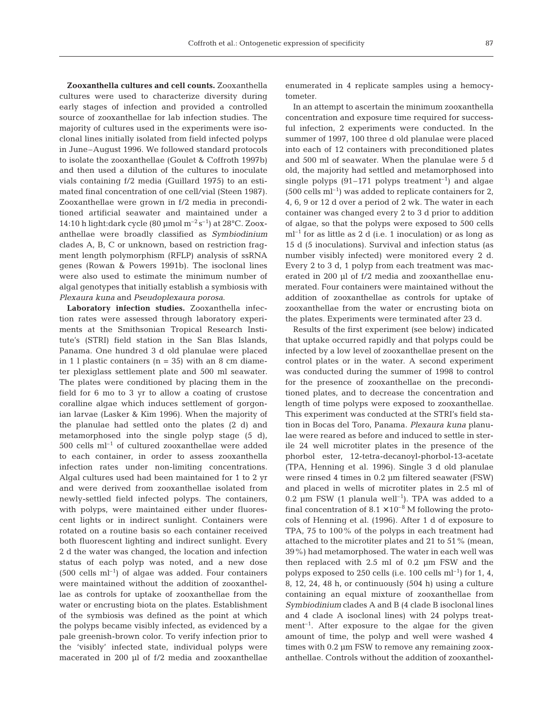**Zooxanthella cultures and cell counts.** Zooxanthella cultures were used to characterize diversity during early stages of infection and provided a controlled source of zooxanthellae for lab infection studies. The majority of cultures used in the experiments were isoclonal lines initially isolated from field infected polyps in June–August 1996. We followed standard protocols to isolate the zooxanthellae (Goulet & Coffroth 1997b) and then used a dilution of the cultures to inoculate vials containing f/2 media (Guillard 1975) to an estimated final concentration of one cell/vial (Steen 1987). Zooxanthellae were grown in f/2 media in preconditioned artificial seawater and maintained under a 14:10 h light:dark cycle (80  $\mu$ mol m<sup>-2</sup> s<sup>-1</sup>) at 28°C. Zooxanthellae were broadly classified as *Symbiodinium* clades A, B, C or unknown, based on restriction fragment length polymorphism (RFLP) analysis of ssRNA genes (Rowan & Powers 1991b). The isoclonal lines were also used to estimate the minimum number of algal genotypes that initially establish a symbiosis with *Plexaura kuna* and *Pseudoplexaura porosa*.

**Laboratory infection studies.** Zooxanthella infection rates were assessed through laboratory experiments at the Smithsonian Tropical Research Institute's (STRI) field station in the San Blas Islands, Panama. One hundred 3 d old planulae were placed in 1 l plastic containers ( $n = 35$ ) with an 8 cm diameter plexiglass settlement plate and 500 ml seawater. The plates were conditioned by placing them in the field for 6 mo to 3 yr to allow a coating of crustose coralline algae which induces settlement of gorgonian larvae (Lasker & Kim 1996). When the majority of the planulae had settled onto the plates (2 d) and metamorphosed into the single polyp stage (5 d),  $500$  cells ml<sup>-1</sup> of cultured zooxanthellae were added to each container, in order to assess zooxanthella infection rates under non-limiting concentrations. Algal cultures used had been maintained for 1 to 2 yr and were derived from zooxanthellae isolated from newly-settled field infected polyps. The containers, with polyps, were maintained either under fluorescent lights or in indirect sunlight. Containers were rotated on a routine basis so each container received both fluorescent lighting and indirect sunlight. Every 2 d the water was changed, the location and infection status of each polyp was noted, and a new dose  $(500 \text{ cells } ml^{-1})$  of algae was added. Four containers were maintained without the addition of zooxanthellae as controls for uptake of zooxanthellae from the water or encrusting biota on the plates. Establishment of the symbiosis was defined as the point at which the polyps became visibly infected, as evidenced by a pale greenish-brown color. To verify infection prior to the 'visibly' infected state, individual polyps were macerated in 200 µl of f/2 media and zooxanthellae

enumerated in 4 replicate samples using a hemocytometer.

In an attempt to ascertain the minimum zooxanthella concentration and exposure time required for successful infection, 2 experiments were conducted. In the summer of 1997, 100 three d old planulae were placed into each of 12 containers with preconditioned plates and 500 ml of seawater. When the planulae were 5 d old, the majority had settled and metamorphosed into single polyps  $(91-171)$  polyps treatment<sup>-1</sup>) and algae  $(500 \text{ cells m}^{-1})$  was added to replicate containers for 2, 4, 6, 9 or 12 d over a period of 2 wk. The water in each container was changed every 2 to 3 d prior to addition of algae, so that the polyps were exposed to 500 cells  $ml^{-1}$  for as little as 2 d (i.e. 1 inoculation) or as long as 15 d (5 inoculations). Survival and infection status (as number visibly infected) were monitored every 2 d. Every 2 to 3 d, 1 polyp from each treatment was macerated in 200 µl of f/2 media and zooxanthellae enumerated. Four containers were maintained without the addition of zooxanthellae as controls for uptake of zooxanthellae from the water or encrusting biota on the plates. Experiments were terminated after 23 d.

Results of the first experiment (see below) indicated that uptake occurred rapidly and that polyps could be infected by a low level of zooxanthellae present on the control plates or in the water. A second experiment was conducted during the summer of 1998 to control for the presence of zooxanthellae on the preconditioned plates, and to decrease the concentration and length of time polyps were exposed to zooxanthellae. This experiment was conducted at the STRI's field station in Bocas del Toro, Panama. *Plexaura kuna* planulae were reared as before and induced to settle in sterile 24 well microtiter plates in the presence of the phorbol ester, 12-tetra-decanoyl-phorbol-13-acetate (TPA, Henning et al. 1996). Single 3 d old planulae were rinsed 4 times in 0.2 µm filtered seawater (FSW) and placed in wells of microtiter plates in 2.5 ml of 0.2  $\mu$ m FSW (1 planula well<sup>-1</sup>). TPA was added to a final concentration of  $8.1 \times 10^{-8}$  M following the protocols of Henning et al. (1996). After 1 d of exposure to TPA, 75 to 100% of the polyps in each treatment had attached to the microtiter plates and 21 to 51% (mean, 39%) had metamorphosed. The water in each well was then replaced with 2.5 ml of 0.2 µm FSW and the polyps exposed to 250 cells (i.e. 100 cells  $ml^{-1}$ ) for 1, 4, 8, 12, 24, 48 h, or continuously (504 h) using a culture containing an equal mixture of zooxanthellae from *Symbiodinium* clades A and B (4 clade B isoclonal lines and 4 clade A isoclonal lines) with 24 polyps treatment<sup>-1</sup>. After exposure to the algae for the given amount of time, the polyp and well were washed 4 times with 0.2 µm FSW to remove any remaining zooxanthellae. Controls without the addition of zooxanthel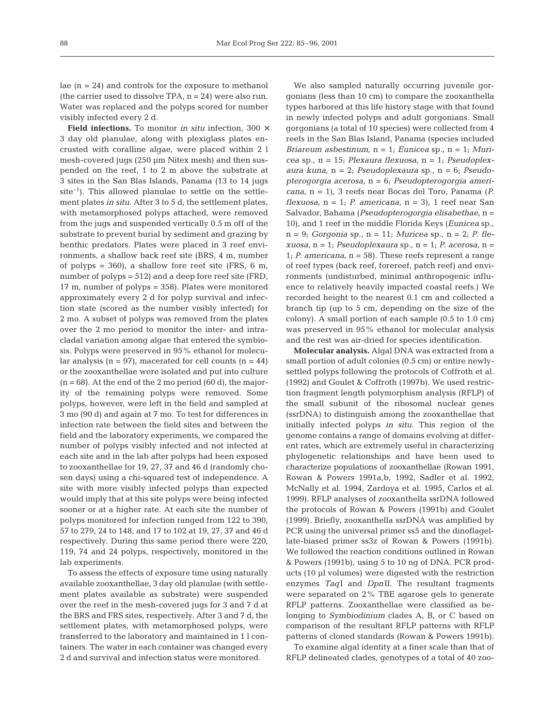lae  $(n = 24)$  and controls for the exposure to methanol (the carrier used to dissolve TPA,  $n = 24$ ) were also run. Water was replaced and the polyps scored for number visibly infected every 2 d.

**Field infections.** To monitor *in situ* infection, 300 × 3 day old planulae, along with plexiglass plates encrusted with coralline algae, were placed within 2 l mesh-covered jugs (250 µm Nitex mesh) and then suspended on the reef, 1 to 2 m above the substrate at 3 sites in the San Blas Islands, Panama (13 to 14 jugs  $site^{-1}$ ). This allowed planulae to settle on the settlement plates *in situ*. After 3 to 5 d, the settlement plates, with metamorphosed polyps attached, were removed from the jugs and suspended vertically 0.5 m off of the substrate to prevent burial by sediment and grazing by benthic predators. Plates were placed in 3 reef environments, a shallow back reef site (BRS, 4 m, number of polyps =  $360$ , a shallow fore reef site (FRS, 6 m, number of polyps = 512) and a deep fore reef site (FRD, 17 m, number of polyps = 358). Plates were monitored approximately every 2 d for polyp survival and infection state (scored as the number visibly infected) for 2 mo. A subset of polyps was removed from the plates over the 2 mo period to monitor the inter- and intracladal variation among algae that entered the symbiosis. Polyps were preserved in 95% ethanol for molecular analysis ( $n = 97$ ), macerated for cell counts ( $n = 44$ ) or the zooxanthellae were isolated and put into culture  $(n = 68)$ . At the end of the 2 mo period  $(60 d)$ , the majority of the remaining polyps were removed. Some polyps, however, were left in the field and sampled at 3 mo (90 d) and again at 7 mo. To test for differences in infection rate between the field sites and between the field and the laboratory experiments, we compared the number of polyps visibly infected and not infected at each site and in the lab after polyps had been exposed to zooxanthellae for 19, 27, 37 and 46 d (randomly chosen days) using a chi-squared test of independence. A site with more visibly infected polyps than expected would imply that at this site polyps were being infected sooner or at a higher rate. At each site the number of polyps monitored for infection ranged from 122 to 390, 57 to 279, 24 to 148, and 17 to 102 at 19, 27, 37 and 46 d respectively. During this same period there were 220, 119, 74 and 24 polyps, respectively, monitored in the lab experiments.

To assess the effects of exposure time using naturally available zooxanthellae, 3 day old planulae (with settlement plates available as substrate) were suspended over the reef in the mesh-covered jugs for 3 and 7 d at the BRS and FRS sites, respectively. After 3 and 7 d, the settlement plates, with metamorphosed polyps, were transferred to the laboratory and maintained in 1 l containers. The water in each container was changed every 2 d and survival and infection status were monitored.

We also sampled naturally occurring juvenile gorgonians (less than 10 cm) to compare the zooxanthella types harbored at this life history stage with that found in newly infected polyps and adult gorgonians. Small gorgonians (a total of 10 species) were collected from 4 reefs in the San Blas Island, Panama (species included *Briareum asbestinum*, n = 1; *Eunicea* sp., n = 1; *Muricea* sp., n = 15; *Plexaura flexuosa,* n = 1; *Pseudoplexaura kuna,* n = 2; *Pseudoplexaura* sp., n = 6; *Pseudopterogorgia acerosa,* n = 6; *Pseudopterogorgia americana,* n = 1), 3 reefs near Bocas del Toro, Panama (*P.*  $flexuosa$ ,  $n = 1$ ; *P. americana*,  $n = 3$ , 1 reef near San Salvador, Bahama (*Pseudopterogorgia elisabethae,* n = 10), and 1 reef in the middle Florida Keys (*Eunicea* sp., n = 9; *Gorgonia* sp., n = 11; *Muricea* sp., n = 2; *P. flexuosa*, n = 1; *Pseudoplexaura* sp., n = 1; *P. acerosa,* n = 1; *P. americana,* n = 58). These reefs represent a range of reef types (back reef, forereef, patch reef) and environments (undisturbed, minimal anthropogenic influence to relatively heavily impacted coastal reefs.) We recorded height to the nearest 0.1 cm and collected a branch tip (up to 5 cm, depending on the size of the colony). A small portion of each sample (0.5 to 1.0 cm) was preserved in 95% ethanol for molecular analysis and the rest was air-dried for species identification.

**Molecular analysis.** Algal DNA was extracted from a small portion of adult colonies (0.5 cm) or entire newlysettled polyps following the protocols of Coffroth et al. (1992) and Goulet & Coffroth (1997b). We used restriction fragment length polymorphism analysis (RFLP) of the small subunit of the ribosomal nuclear genes (ssrDNA) to distinguish among the zooxanthellae that initially infected polyps *in situ*. This region of the genome contains a range of domains evolving at different rates, which are extremely useful in characterizing phylogenetic relationships and have been used to characterize populations of zooxanthellae (Rowan 1991, Rowan & Powers 1991a,b, 1992, Sadler et al. 1992, McNally et al. 1994, Zardoya et al. 1995, Carlos et al. 1999). RFLP analyses of zooxanthella ssrDNA followed the protocols of Rowan & Powers (1991b) and Goulet (1999). Briefly, zooxanthella ssrDNA was amplified by PCR using the universal primer ss5 and the dinoflagellate-biased primer ss3z of Rowan & Powers (1991b). We followed the reaction conditions outlined in Rowan & Powers (1991b), using 5 to 10 ng of DNA. PCR products (10 µl volumes) were digested with the restriction enzymes *Taq*I and *Dpn*II. The resultant fragments were separated on 2% TBE agarose gels to generate RFLP patterns. Zooxanthellae were classified as belonging to *Symbiodinium* clades A, B, or C based on comparison of the resultant RFLP patterns with RFLP patterns of cloned standards (Rowan & Powers 1991b).

To examine algal identity at a finer scale than that of RFLP delineated clades, genotypes of a total of 40 zoo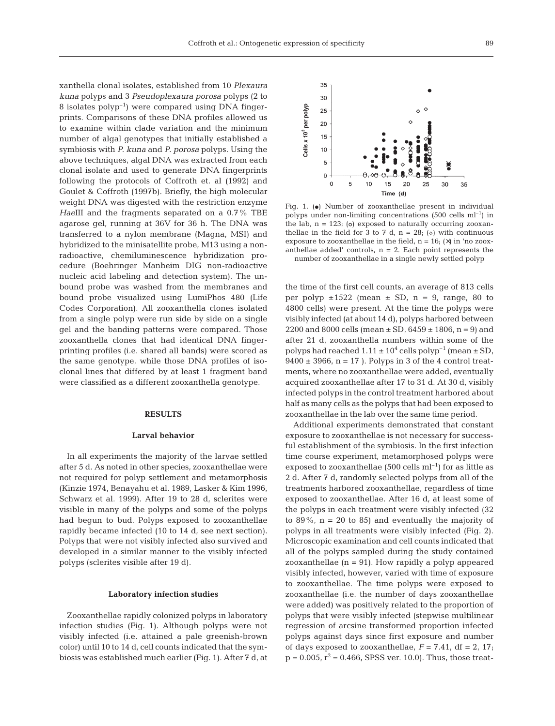xanthella clonal isolates, established from 10 *Plexaura kuna* polyps and 3 *Pseudoplexaura porosa* polyps (2 to 8 isolates  $polyp^{-1}$  were compared using DNA fingerprints. Comparisons of these DNA profiles allowed us to examine within clade variation and the minimum number of algal genotypes that initially established a symbiosis with *P. kuna* and *P. porosa* polyps. Using the above techniques, algal DNA was extracted from each clonal isolate and used to generate DNA fingerprints following the protocols of Coffroth et. al (1992) and Goulet & Coffroth (1997b). Briefly, the high molecular weight DNA was digested with the restriction enzyme *Hae*III and the fragments separated on a 0.7% TBE agarose gel, running at 36V for 36 h. The DNA was transferred to a nylon membrane (Magna, MSI) and hybridized to the minisatellite probe, M13 using a nonradioactive, chemiluminescence hybridization procedure (Boehringer Manheim DIG non-radioactive nucleic acid labeling and detection system). The unbound probe was washed from the membranes and bound probe visualized using LumiPhos 480 (Life Codes Corporation). All zooxanthella clones isolated from a single polyp were run side by side on a single gel and the banding patterns were compared. Those zooxanthella clones that had identical DNA fingerprinting profiles (i.e. shared all bands) were scored as the same genotype, while those DNA profiles of isoclonal lines that differed by at least 1 fragment band were classified as a different zooxanthella genotype.

## **RESULTS**

#### **Larval behavior**

In all experiments the majority of the larvae settled after 5 d. As noted in other species, zooxanthellae were not required for polyp settlement and metamorphosis (Kinzie 1974, Benayahu et al. 1989, Lasker & Kim 1996, Schwarz et al. 1999). After 19 to 28 d, sclerites were visible in many of the polyps and some of the polyps had begun to bud. Polyps exposed to zooxanthellae rapidly became infected (10 to 14 d, see next section). Polyps that were not visibly infected also survived and developed in a similar manner to the visibly infected polyps (sclerites visible after 19 d).

#### **Laboratory infection studies**

Zooxanthellae rapidly colonized polyps in laboratory infection studies (Fig. 1). Although polyps were not visibly infected (i.e. attained a pale greenish-brown color) until 10 to 14 d, cell counts indicated that the symbiosis was established much earlier (Fig. 1). After 7 d, at



Fig. 1.  $\Theta$  Number of zooxanthellae present in individual polyps under non-limiting concentrations  $(500 \text{ cells } \text{ml}^{-1})$  in the lab,  $n = 123$ ; (o) exposed to naturally occurring zooxanthellae in the field for 3 to 7 d, n = 28; ( $\diamond$ ) with continuous exposure to zooxanthellae in the field,  $n = 16$ ; ( $\times$ ) in 'no zooxanthellae added' controls,  $n = 2$ . Each point represents the number of zooxanthellae in a single newly settled polyp

the time of the first cell counts, an average of 813 cells per polyp  $\pm 1522$  (mean  $\pm$  SD, n = 9, range, 80 to 4800 cells) were present. At the time the polyps were visibly infected (at about 14 d), polyps harbored between 2200 and 8000 cells (mean  $\pm$  SD, 6459  $\pm$  1806, n = 9) and after 21 d, zooxanthella numbers within some of the polyps had reached  $1.11 \pm 10^4$  cells polyp<sup>-1</sup> (mean  $\pm$  SD,  $9400 \pm 3966$ , n = 17). Polyps in 3 of the 4 control treatments, where no zooxanthellae were added, eventually acquired zooxanthellae after 17 to 31 d. At 30 d, visibly infected polyps in the control treatment harbored about half as many cells as the polyps that had been exposed to zooxanthellae in the lab over the same time period.

Additional experiments demonstrated that constant exposure to zooxanthellae is not necessary for successful establishment of the symbiosis. In the first infection time course experiment, metamorphosed polyps were exposed to zooxanthellae (500 cells  $ml^{-1}$ ) for as little as 2 d. After 7 d, randomly selected polyps from all of the treatments harbored zooxanthellae, regardless of time exposed to zooxanthellae. After 16 d, at least some of the polyps in each treatment were visibly infected (32 to 89%,  $n = 20$  to 85) and eventually the majority of polyps in all treatments were visibly infected (Fig. 2). Microscopic examination and cell counts indicated that all of the polyps sampled during the study contained zooxanthellae  $(n = 91)$ . How rapidly a polyp appeared visibly infected, however, varied with time of exposure to zooxanthellae. The time polyps were exposed to zooxanthellae (i.e. the number of days zooxanthellae were added) was positively related to the proportion of polyps that were visibly infected (stepwise multilinear regression of arcsine transformed proportion infected polyps against days since first exposure and number of days exposed to zooxanthellae,  $F = 7.41$ , df = 2, 17;  $p = 0.005$ ,  $r^2 = 0.466$ , SPSS ver. 10.0). Thus, those treat-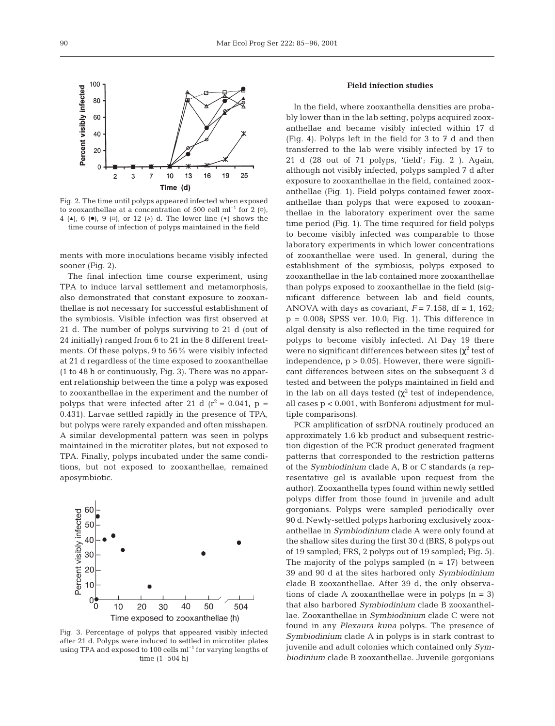

Fig. 2. The time until polyps appeared infected when exposed to zooxanthellae at a concentration of 500 cell  $ml^{-1}$  for 2 ( $\circ$ ), 4 (A), 6 ( $\bullet$ ), 9 ( $\Box$ ), or 12 ( $\Delta$ ) d. The lower line (\*) shows the time course of infection of polyps maintained in the field

ments with more inoculations became visibly infected sooner (Fig. 2).

The final infection time course experiment, using TPA to induce larval settlement and metamorphosis, also demonstrated that constant exposure to zooxanthellae is not necessary for successful establishment of the symbiosis. Visible infection was first observed at 21 d. The number of polyps surviving to 21 d (out of 24 initially) ranged from 6 to 21 in the 8 different treatments. Of these polyps, 9 to 56% were visibly infected at 21 d regardless of the time exposed to zooxanthellae (1 to 48 h or continuously, Fig. 3). There was no apparent relationship between the time a polyp was exposed to zooxanthellae in the experiment and the number of polyps that were infected after 21 d  $(r^2 = 0.041, p =$ 0.431). Larvae settled rapidly in the presence of TPA, but polyps were rarely expanded and often misshapen. A similar developmental pattern was seen in polyps maintained in the microtiter plates, but not exposed to TPA. Finally, polyps incubated under the same conditions, but not exposed to zooxanthellae, remained aposymbiotic.



Fig. 3. Percentage of polyps that appeared visibly infected after 21 d. Polyps were induced to settled in microtiter plates using TPA and exposed to 100 cells  $ml^{-1}$  for varying lengths of time (1–504 h)

#### **Field infection studies**

In the field, where zooxanthella densities are probably lower than in the lab setting, polyps acquired zooxanthellae and became visibly infected within 17 d (Fig. 4). Polyps left in the field for 3 to 7 d and then transferred to the lab were visibly infected by 17 to 21 d (28 out of 71 polyps, 'field'; Fig. 2 ). Again, although not visibly infected, polyps sampled 7 d after exposure to zooxanthellae in the field, contained zooxanthellae (Fig. 1). Field polyps contained fewer zooxanthellae than polyps that were exposed to zooxanthellae in the laboratory experiment over the same time period (Fig. 1). The time required for field polyps to become visibly infected was comparable to those laboratory experiments in which lower concentrations of zooxanthellae were used. In general, during the establishment of the symbiosis, polyps exposed to zooxanthellae in the lab contained more zooxanthellae than polyps exposed to zooxanthellae in the field (significant difference between lab and field counts, ANOVA with days as covariant,  $F = 7.158$ , df = 1, 162;  $p = 0.008$ ; SPSS ver. 10.0; Fig. 1). This difference in algal density is also reflected in the time required for polyps to become visibly infected. At Day 19 there were no significant differences between sites ( $\chi^2$  test of independence,  $p > 0.05$ . However, there were significant differences between sites on the subsequent 3 d tested and between the polyps maintained in field and in the lab on all days tested ( $\chi^2$  test of independence, all cases p < 0.001, with Bonferoni adjustment for multiple comparisons).

PCR amplification of ssrDNA routinely produced an approximately 1.6 kb product and subsequent restriction digestion of the PCR product generated fragment patterns that corresponded to the restriction patterns of the *Symbiodinium* clade A, B or C standards (a representative gel is available upon request from the author). Zooxanthella types found within newly settled polyps differ from those found in juvenile and adult gorgonians. Polyps were sampled periodically over 90 d. Newly-settled polyps harboring exclusively zooxanthellae in *Symbiodinium* clade A were only found at the shallow sites during the first 30 d (BRS, 8 polyps out of 19 sampled; FRS, 2 polyps out of 19 sampled; Fig. 5). The majority of the polyps sampled  $(n = 17)$  between 39 and 90 d at the sites harbored only *Symbiodinium* clade B zooxanthellae. After 39 d, the only observations of clade A zooxanthellae were in polyps  $(n = 3)$ that also harbored *Symbiodinium* clade B zooxanthellae. Zooxanthellae in *Symbiodinium* clade C were not found in any *Plexaura kuna* polyps. The presence of *Symbiodinium* clade A in polyps is in stark contrast to juvenile and adult colonies which contained only *Symbiodinium* clade B zooxanthellae. Juvenile gorgonians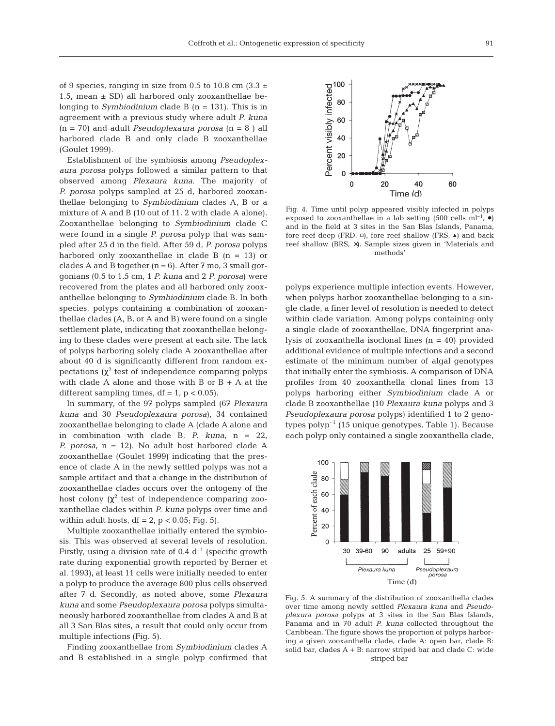of 9 species, ranging in size from 0.5 to 10.8 cm  $(3.3 \pm 1)$ 1.5, mean  $\pm$  SD) all harbored only zooxanthellae belonging to *Symbiodinium* clade B (n = 131). This is in agreement with a previous study where adult *P. kuna* (n = 70) and adult *Pseudoplexaura porosa* (n = 8 ) all harbored clade B and only clade B zooxanthellae (Goulet 1999).

Establishment of the symbiosis among *Pseudoplexaura porosa* polyps followed a similar pattern to that observed among *Plexaura kuna*. The majority of *P. porosa* polyps sampled at 25 d, harbored zooxanthellae belonging to *Symbiodinium* clades A, B or a mixture of A and B (10 out of 11, 2 with clade A alone). Zooxanthellae belonging to *Symbiodinium* clade C were found in a single *P. porosa* polyp that was sampled after 25 d in the field. After 59 d, *P. porosa* polyps harbored only zooxanthellae in clade B  $(n = 13)$  or clades A and B together  $(n = 6)$ . After 7 mo, 3 small gorgonians (0.5 to 1.5 cm, 1 *P. kuna* and 2 *P. porosa*) were recovered from the plates and all harbored only zooxanthellae belonging to *Symbiodinium* clade B. In both species, polyps containing a combination of zooxanthellae clades (A, B, or A and B*)* were found on a single settlement plate, indicating that zooxanthellae belonging to these clades were present at each site. The lack of polyps harboring solely clade A zooxanthellae after about 40 d is significantly different from random expectations  $(\chi^2$  test of independence comparing polyps with clade A alone and those with B or  $B + A$  at the different sampling times,  $df = 1$ ,  $p < 0.05$ ).

In summary, of the 97 polyps sampled (67 *Plexaura kuna* and 30 *Pseudoplexaura porosa*), 34 contained zooxanthellae belonging to clade A (clade A alone and in combination with clade B, *P. kuna*, n = 22, *P. porosa*, n = 12). No adult host harbored clade A zooxanthellae (Goulet 1999) indicating that the presence of clade A in the newly settled polyps was not a sample artifact and that a change in the distribution of zooxanthellae clades occurs over the ontogeny of the host colony  $(\chi^2)$  test of independence comparing zooxanthellae clades within *P. kuna* polyps over time and within adult hosts, df = 2,  $p < 0.05$ ; Fig. 5).

Multiple zooxanthellae initially entered the symbiosis. This was observed at several levels of resolution. Firstly, using a division rate of 0.4  $d^{-1}$  (specific growth rate during exponential growth reported by Berner et al. 1993), at least 11 cells were initially needed to enter a polyp to produce the average 800 plus cells observed after 7 d. Secondly, as noted above, some *Plexaura kuna* and some *Pseudoplexaura porosa* polyps simultaneously harbored zooxanthellae from clades A and B at all 3 San Blas sites, a result that could only occur from multiple infections (Fig. 5).

Finding zooxanthellae from *Symbiodinium* clades A and B established in a single polyp confirmed that

 $\Omega$ 20 40 60 Time (d)

Fig. 4. Time until polyp appeared visibly infected in polyps exposed to zooxanthellae in a lab setting (500 cells ml<sup>-1</sup>,  $\bullet$ ) and in the field at 3 sites in the San Blas Islands, Panama, fore reef deep (FRD,  $\Box$ ), fore reef shallow (FRS,  $\blacktriangle$ ) and back reef shallow (BRS, ×). Sample sizes given in 'Materials and methods'

polyps experience multiple infection events. However, when polyps harbor zooxanthellae belonging to a single clade, a finer level of resolution is needed to detect within clade variation. Among polyps containing only a single clade of zooxanthellae, DNA fingerprint analysis of zooxanthella isoclonal lines  $(n = 40)$  provided additional evidence of multiple infections and a second estimate of the minimum number of algal genotypes that initially enter the symbiosis. A comparison of DNA profiles from 40 zooxanthella clonal lines from 13 polyps harboring either *Symbiodinium* clade A or clade B zooxanthellae (10 *Plexaura kuna* polyps and 3 *Pseudoplexaura porosa* polyps) identified 1 to 2 genotypes  $polyp^{-1}$  (15 unique genotypes, Table 1). Because each polyp only contained a single zooxanthella clade,



Fig. 5. A summary of the distribution of zooxanthella clades over time among newly settled *Plexaura kuna* and *Pseudoplexura porosa* polyps at 3 sites in the San Blas Islands, Panama and in 70 adult *P. kuna* collected throughout the Caribbean. The figure shows the proportion of polyps harboring a given zooxanthella clade, clade A: open bar, clade B: solid bar, clades  $A + B$ : narrow striped bar and clade C: wide striped bar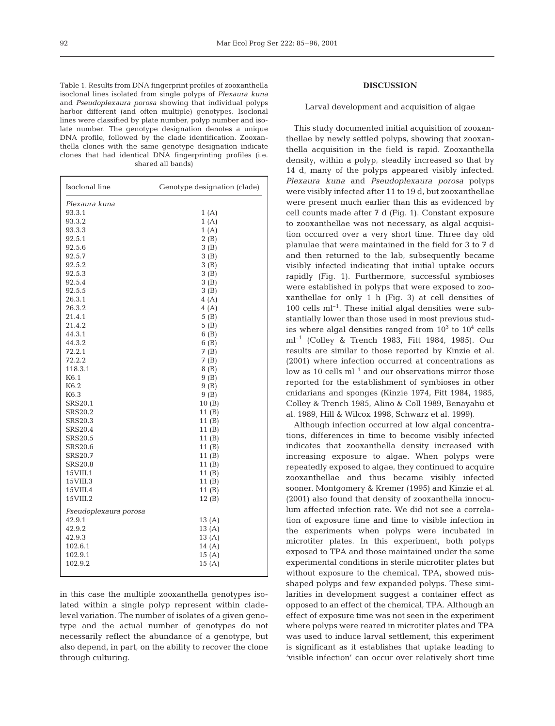Table 1. Results from DNA fingerprint profiles of zooxanthella isoclonal lines isolated from single polyps of *Plexaura kuna* and *Pseudoplexaura porosa* showing that individual polyps harbor different (and often multiple) genotypes. Isoclonal lines were classified by plate number, polyp number and isolate number. The genotype designation denotes a unique DNA profile, followed by the clade identification. Zooxanthella clones with the same genotype designation indicate clones that had identical DNA fingerprinting profiles (i.e. shared all bands)

| Isoclonal line        | Genotype designation (clade) |
|-----------------------|------------------------------|
| Plexaura kuna         |                              |
| 93.3.1                | 1(A)                         |
| 93.3.2                | 1(A)                         |
| 93.3.3                | 1(A)                         |
| 92.5.1                | 2(B)                         |
| 92.5.6                | 3(B)                         |
| 92.5.7                | 3(B)                         |
| 92.5.2                | 3(B)                         |
| 92.5.3                | 3(B)                         |
| 92.5.4                | 3(B)                         |
| 92.5.5                | 3(B)                         |
| 26.3.1                | 4(A)                         |
| 26.3.2                | 4(A)                         |
| 21.4.1                | 5(B)                         |
| 21.4.2                | 5(B)                         |
| 44.3.1                | 6(B)                         |
| 44.3.2                | 6(B)                         |
| 72.2.1                | 7(B)                         |
| 72.2.2                | 7(B)                         |
| 118.3.1               | 8(B)                         |
| K6.1                  | 9(B)                         |
| K6.2                  | 9 (B)                        |
| K6.3                  | 9(B)                         |
| <b>SRS20.1</b>        | 10(B)                        |
| <b>SRS20.2</b>        | 11(B)                        |
| SRS20.3               | 11 (B)                       |
| <b>SRS20.4</b>        | 11(B)                        |
| <b>SRS20.5</b>        | 11 (B)                       |
| <b>SRS20.6</b>        | 11 (B)                       |
| SRS20.7               | 11 (B)                       |
| <b>SRS20.8</b>        | 11 (B)                       |
| $15$ VIII. $1$        | 11 (B)                       |
| 15VIII.3              | 11 (B)                       |
| 15VIII.4              | 11 (B)                       |
| 15VIII.2              | 12(B)                        |
| Pseudoplexaura porosa |                              |
| 42.9.1                | 13(A)                        |
| 42.9.2                | 13(A)                        |
| 42.9.3                | 13(A)                        |
| 102.6.1               | 14(A)                        |
| 102.9.1               | 15(A)                        |
| 102.9.2               | 15(A)                        |
|                       |                              |

in this case the multiple zooxanthella genotypes isolated within a single polyp represent within cladelevel variation. The number of isolates of a given genotype and the actual number of genotypes do not necessarily reflect the abundance of a genotype, but also depend, in part, on the ability to recover the clone through culturing.

### **DISCUSSION**

# Larval development and acquisition of algae

This study documented initial acquisition of zooxanthellae by newly settled polyps, showing that zooxanthella acquisition in the field is rapid. Zooxanthella density, within a polyp, steadily increased so that by 14 d, many of the polyps appeared visibly infected. *Plexaura kuna* and *Pseudoplexaura porosa* polyps were visibly infected after 11 to 19 d, but zooxanthellae were present much earlier than this as evidenced by cell counts made after 7 d (Fig. 1). Constant exposure to zooxanthellae was not necessary, as algal acquisition occurred over a very short time. Three day old planulae that were maintained in the field for 3 to 7 d and then returned to the lab, subsequently became visibly infected indicating that initial uptake occurs rapidly (Fig. 1). Furthermore, successful symbioses were established in polyps that were exposed to zooxanthellae for only 1 h (Fig. 3) at cell densities of  $100$  cells m $l^{-1}$ . These initial algal densities were substantially lower than those used in most previous studies where algal densities ranged from  $10^3$  to  $10^4$  cells ml–1 (Colley & Trench 1983, Fitt 1984, 1985). Our results are similar to those reported by Kinzie et al. (2001) where infection occurred at concentrations as low as 10 cells  $ml^{-1}$  and our observations mirror those reported for the establishment of symbioses in other cnidarians and sponges (Kinzie 1974, Fitt 1984, 1985, Colley & Trench 1985, Alino & Coll 1989, Benayahu et al. 1989, Hill & Wilcox 1998, Schwarz et al. 1999).

Although infection occurred at low algal concentrations, differences in time to become visibly infected indicates that zooxanthella density increased with increasing exposure to algae. When polyps were repeatedly exposed to algae, they continued to acquire zooxanthellae and thus became visibly infected sooner. Montgomery & Kremer (1995) and Kinzie et al. (2001) also found that density of zooxanthella innoculum affected infection rate. We did not see a correlation of exposure time and time to visible infection in the experiments when polyps were incubated in microtiter plates. In this experiment, both polyps exposed to TPA and those maintained under the same experimental conditions in sterile microtiter plates but without exposure to the chemical, TPA, showed misshaped polyps and few expanded polyps. These similarities in development suggest a container effect as opposed to an effect of the chemical, TPA. Although an effect of exposure time was not seen in the experiment where polyps were reared in microtiter plates and TPA was used to induce larval settlement, this experiment is significant as it establishes that uptake leading to 'visible infection' can occur over relatively short time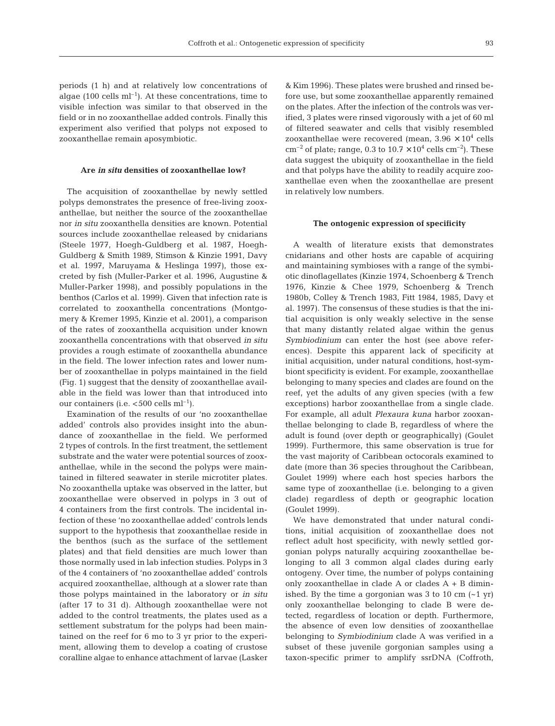periods (1 h) and at relatively low concentrations of algae (100 cells  $ml^{-1}$ ). At these concentrations, time to visible infection was similar to that observed in the field or in no zooxanthellae added controls. Finally this experiment also verified that polyps not exposed to zooxanthellae remain aposymbiotic.

#### **Are** *in situ* **densities of zooxanthellae low?**

The acquisition of zooxanthellae by newly settled polyps demonstrates the presence of free-living zooxanthellae, but neither the source of the zooxanthellae nor *in situ* zooxanthella densities are known. Potential sources include zooxanthellae released by cnidarians (Steele 1977, Hoegh-Guldberg et al. 1987, Hoegh-Guldberg & Smith 1989, Stimson & Kinzie 1991, Davy et al. 1997, Maruyama & Heslinga 1997), those excreted by fish (Muller-Parker et al. 1996, Augustine & Muller-Parker 1998), and possibly populations in the benthos (Carlos et al. 1999). Given that infection rate is correlated to zooxanthella concentrations (Montgomery & Kremer 1995, Kinzie et al. 2001), a comparison of the rates of zooxanthella acquisition under known zooxanthella concentrations with that observed *in situ* provides a rough estimate of zooxanthella abundance in the field. The lower infection rates and lower number of zooxanthellae in polyps maintained in the field (Fig. 1) suggest that the density of zooxanthellae available in the field was lower than that introduced into our containers (i.e.  $<$  500 cells ml<sup>-1</sup>).

Examination of the results of our 'no zooxanthellae added' controls also provides insight into the abundance of zooxanthellae in the field. We performed 2 types of controls. In the first treatment, the settlement substrate and the water were potential sources of zooxanthellae, while in the second the polyps were maintained in filtered seawater in sterile microtiter plates. No zooxanthella uptake was observed in the latter, but zooxanthellae were observed in polyps in 3 out of 4 containers from the first controls. The incidental infection of these 'no zooxanthellae added' controls lends support to the hypothesis that zooxanthellae reside in the benthos (such as the surface of the settlement plates) and that field densities are much lower than those normally used in lab infection studies. Polyps in 3 of the 4 containers of 'no zooxanthellae added' controls acquired zooxanthellae, although at a slower rate than those polyps maintained in the laboratory or *in situ* (after 17 to 31 d). Although zooxanthellae were not added to the control treatments, the plates used as a settlement substratum for the polyps had been maintained on the reef for 6 mo to 3 yr prior to the experiment, allowing them to develop a coating of crustose coralline algae to enhance attachment of larvae (Lasker

& Kim 1996). These plates were brushed and rinsed before use, but some zooxanthellae apparently remained on the plates. After the infection of the controls was verified, 3 plates were rinsed vigorously with a jet of 60 ml of filtered seawater and cells that visibly resembled zooxanthellae were recovered (mean,  $3.96 \times 10^4$  cells  $\text{cm}^{-2}$  of plate; range, 0.3 to  $10.7 \times 10^4$  cells  $\text{cm}^{-2}$ ). These data suggest the ubiquity of zooxanthellae in the field and that polyps have the ability to readily acquire zooxanthellae even when the zooxanthellae are present in relatively low numbers.

#### **The ontogenic expression of specificity**

A wealth of literature exists that demonstrates cnidarians and other hosts are capable of acquiring and maintaining symbioses with a range of the symbiotic dinoflagellates (Kinzie 1974, Schoenberg & Trench 1976, Kinzie & Chee 1979, Schoenberg & Trench 1980b, Colley & Trench 1983, Fitt 1984, 1985, Davy et al. 1997). The consensus of these studies is that the initial acquisition is only weakly selective in the sense that many distantly related algae within the genus *Symbiodinium* can enter the host (see above references). Despite this apparent lack of specificity at initial acquisition, under natural conditions, host-symbiont specificity is evident. For example, zooxanthellae belonging to many species and clades are found on the reef, yet the adults of any given species (with a few exceptions) harbor zooxanthellae from a single clade. For example, all adult *Plexaura kuna* harbor zooxanthellae belonging to clade B, regardless of where the adult is found (over depth or geographically) (Goulet 1999). Furthermore, this same observation is true for the vast majority of Caribbean octocorals examined to date (more than 36 species throughout the Caribbean, Goulet 1999) where each host species harbors the same type of zooxanthellae (i.e. belonging to a given clade) regardless of depth or geographic location (Goulet 1999).

We have demonstrated that under natural conditions, initial acquisition of zooxanthellae does not reflect adult host specificity, with newly settled gorgonian polyps naturally acquiring zooxanthellae belonging to all 3 common algal clades during early ontogeny. Over time, the number of polyps containing only zooxanthellae in clade A or clades A + B diminished. By the time a gorgonian was 3 to 10 cm  $(-1 \text{ yr})$ only zooxanthellae belonging to clade B were detected, regardless of location or depth. Furthermore, the absence of even low densities of zooxanthellae belonging to *Symbiodinium* clade A was verified in a subset of these juvenile gorgonian samples using a taxon-specific primer to amplify ssrDNA (Coffroth,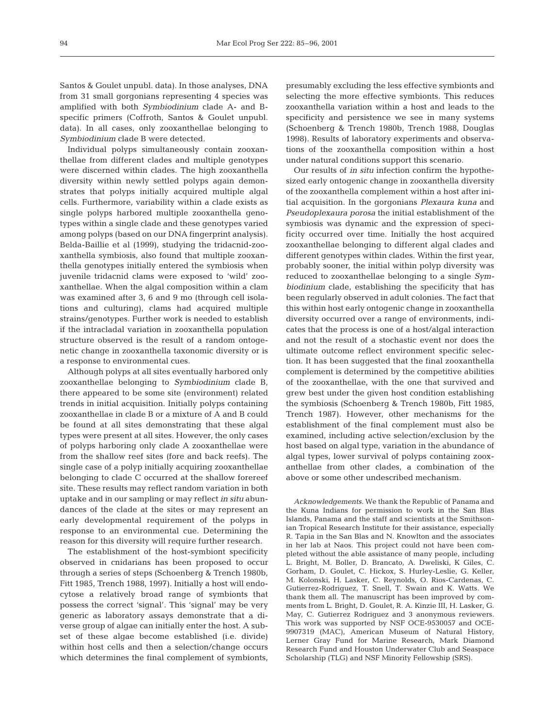Santos & Goulet unpubl. data). In those analyses, DNA from 31 small gorgonians representing 4 species was amplified with both *Symbiodinium* clade A- and Bspecific primers (Coffroth, Santos & Goulet unpubl. data). In all cases, only zooxanthellae belonging to *Symbiodinium* clade B were detected.

Individual polyps simultaneously contain zooxanthellae from different clades and multiple genotypes were discerned within clades. The high zooxanthella diversity within newly settled polyps again demonstrates that polyps initially acquired multiple algal cells. Furthermore, variability within a clade exists as single polyps harbored multiple zooxanthella genotypes within a single clade and these genotypes varied among polyps (based on our DNA fingerprint analysis). Belda-Baillie et al (1999), studying the tridacnid-zooxanthella symbiosis, also found that multiple zooxanthella genotypes initially entered the symbiosis when juvenile tridacnid clams were exposed to 'wild' zooxanthellae. When the algal composition within a clam was examined after 3, 6 and 9 mo (through cell isolations and culturing), clams had acquired multiple strains/genotypes. Further work is needed to establish if the intracladal variation in zooxanthella population structure observed is the result of a random ontogenetic change in zooxanthella taxonomic diversity or is a response to environmental cues.

Although polyps at all sites eventually harbored only zooxanthellae belonging to *Symbiodinium* clade B, there appeared to be some site (environment) related trends in initial acquisition. Initially polyps containing zooxanthellae in clade B or a mixture of A and B could be found at all sites demonstrating that these algal types were present at all sites. However, the only cases of polyps harboring only clade A zooxanthellae were from the shallow reef sites (fore and back reefs). The single case of a polyp initially acquiring zooxanthellae belonging to clade C occurred at the shallow forereef site. These results may reflect random variation in both uptake and in our sampling or may reflect *in situ* abundances of the clade at the sites or may represent an early developmental requirement of the polyps in response to an environmental cue. Determining the reason for this diversity will require further research.

The establishment of the host-symbiont specificity observed in cnidarians has been proposed to occur through a series of steps (Schoenberg & Trench 1980b, Fitt 1985, Trench 1988, 1997). Initially a host will endocytose a relatively broad range of symbionts that possess the correct 'signal'. This 'signal' may be very generic as laboratory assays demonstrate that a diverse group of algae can initially enter the host. A subset of these algae become established (i.e. divide) within host cells and then a selection/change occurs which determines the final complement of symbionts,

presumably excluding the less effective symbionts and selecting the more effective symbionts. This reduces zooxanthella variation within a host and leads to the specificity and persistence we see in many systems (Schoenberg & Trench 1980b, Trench 1988, Douglas 1998). Results of laboratory experiments and observations of the zooxanthella composition within a host under natural conditions support this scenario.

Our results of *in situ* infection confirm the hypothesized early ontogenic change in zooxanthella diversity of the zooxanthella complement within a host after initial acquisition. In the gorgonians *Plexaura kuna* and *Pseudoplexaura porosa* the initial establishment of the symbiosis was dynamic and the expression of specificity occurred over time. Initially the host acquired zooxanthellae belonging to different algal clades and different genotypes within clades. Within the first year, probably sooner, the initial within polyp diversity was reduced to zooxanthellae belonging to a single *Symbiodinium* clade, establishing the specificity that has been regularly observed in adult colonies. The fact that this within host early ontogenic change in zooxanthella diversity occurred over a range of environments, indicates that the process is one of a host/algal interaction and not the result of a stochastic event nor does the ultimate outcome reflect environment specific selection. It has been suggested that the final zooxanthella complement is determined by the competitive abilities of the zooxanthellae, with the one that survived and grew best under the given host condition establishing the symbiosis (Schoenberg & Trench 1980b, Fitt 1985, Trench 1987). However, other mechanisms for the establishment of the final complement must also be examined, including active selection/exclusion by the host based on algal type, variation in the abundance of algal types, lower survival of polyps containing zooxanthellae from other clades, a combination of the above or some other undescribed mechanism.

*Acknowledgements.* We thank the Republic of Panama and the Kuna Indians for permission to work in the San Blas Islands, Panama and the staff and scientists at the Smithsonian Tropical Research Institute for their assistance, especially R. Tapia in the San Blas and N. Knowlton and the associates in her lab at Naos. This project could not have been completed without the able assistance of many people, including L. Bright, M. Boller, D. Brancato, A. Dweliski, K Giles, C. Gorham, D. Goulet, C. Hickox, S. Hurley-Leslie, G. Keller, M. Kolonski, H. Lasker, C. Reynolds, O. Rios-Cardenas, C. Gutierrez-Rodriguez, T. Snell, T. Swain and K. Watts. We thank them all. The manuscript has been improved by comments from L. Bright, D. Goulet, R. A. Kinzie III, H. Lasker, G. May, C. Gutierrez Rodriguez and 3 anonymous reviewers. This work was supported by NSF OCE-9530057 and OCE-9907319 (MAC), American Museum of Natural History, Lerner Gray Fund for Marine Research, Mark Diamond Research Fund and Houston Underwater Club and Seaspace Scholarship (TLG) and NSF Minority Fellowship (SRS).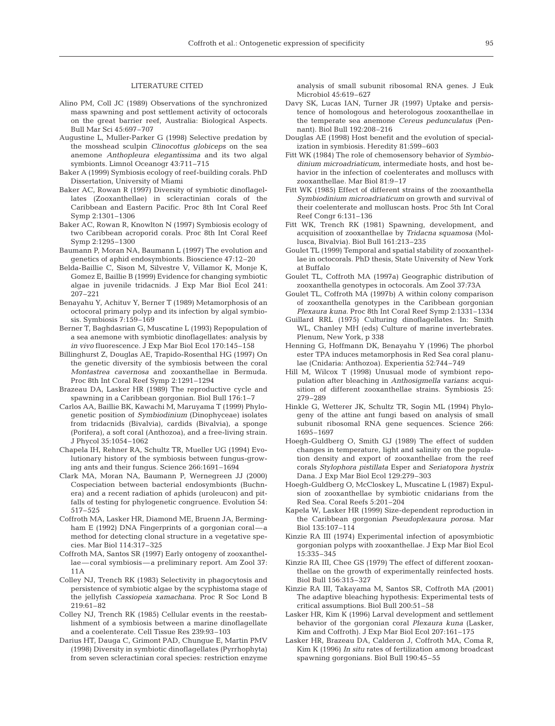#### LITERATURE CITED

- Alino PM, Coll JC (1989) Observations of the synchronized mass spawning and post settlement activity of octocorals on the great barrier reef, Australia: Biological Aspects. Bull Mar Sci 45:697–707
- Augustine L, Muller-Parker G (1998) Selective predation by the mosshead sculpin *Clinocottus globiceps* on the sea anemone *Anthopleura elegantissima* and its two algal symbionts. Limnol Oceanogr 43:711–715
- Baker A (1999) Symbiosis ecology of reef-building corals. PhD Dissertation, University of Miami
- Baker AC, Rowan R (1997) Diversity of symbiotic dinoflagellates (Zooxanthellae) in scleractinian corals of the Caribbean and Eastern Pacific. Proc 8th Int Coral Reef Symp 2:1301–1306
- Baker AC, Rowan R, Knowlton N (1997) Symbiosis ecology of two Caribbean acroporid corals. Proc 8th Int Coral Reef Symp 2:1295–1300
- Baumann P, Moran NA, Baumann L (1997) The evolution and genetics of aphid endosymbionts. Bioscience 47:12–20
- Belda-Baillie C, Sison M, Silvestre V, Villamor K, Monje K, Gomez E, Baillie B (1999) Evidence for changing symbiotic algae in juvenile tridacnids. J Exp Mar Biol Ecol 241: 207–221
- Benayahu Y, Achituv Y, Berner T (1989) Metamorphosis of an octocoral primary polyp and its infection by algal symbiosis. Symbiosis 7:159–169
- Berner T, Baghdasrian G, Muscatine L (1993) Repopulation of a sea anemone with symbiotic dinoflagellates: analysis by *in vivo* fluorescence. J Exp Mar Biol Ecol 170:145–158
- Billinghurst Z, Douglas AE, Trapido-Rosenthal HG (1997) On the genetic diversity of the symbiosis between the coral *Montastrea cavernosa* and zooxanthellae in Bermuda. Proc 8th Int Coral Reef Symp 2:1291–1294
- Brazeau DA, Lasker HR (1989) The reproductive cycle and spawning in a Caribbean gorgonian. Biol Bull 176:1–7
- Carlos AA, Baillie BK, Kawachi M, Maruyama T (1999) Phylogenetic position of *Symbiodinium* (Dinophyceae) isolates from tridacnids (Bivalvia), cardids (Bivalvia), a sponge (Porifera), a soft coral (Anthozoa), and a free-living strain. J Phycol 35:1054–1062
- Chapela IH, Rehner RA, Schultz TR, Mueller UG (1994) Evolutionary history of the symbiosis between fungus-growing ants and their fungus. Science 266:1691–1694
- Clark MA, Moran NA, Baumann P, Wernegreen JJ (2000) Cospeciation between bacterial endosymbionts (Buchnera) and a recent radiation of aphids (uroleucon) and pitfalls of testing for phylogenetic congruence. Evolution 54: 517–525
- Coffroth MA, Lasker HR, Diamond ME, Bruenn JA, Bermingham E (1992) DNA Fingerprints of a gorgonian coralmethod for detecting clonal structure in a vegetative species. Mar Biol 114:317–325
- Coffroth MA, Santos SR (1997) Early ontogeny of zooxanthellae—coral symbiosis—a preliminary report. Am Zool 37: 11A
- Colley NJ, Trench RK (1983) Selectivity in phagocytosis and persistence of symbiotic algae by the scyphistoma stage of the jellyfish *Cassiopeia xamachana*. Proc R Soc Lond B 219:61–82
- Colley NJ, Trench RK (1985) Cellular events in the reestablishment of a symbiosis between a marine dinoflagellate and a coelenterate. Cell Tissue Res 239:93–103
- Darius HT, Dauga C, Grimont PAD, Chungue E, Martin PMV (1998) Diversity in symbiotic dinoflagellates (Pyrrhophyta) from seven scleractinian coral species: restriction enzyme

analysis of small subunit ribosomal RNA genes. J Euk Microbiol 45:619–627

- Davy SK, Lucas IAN, Turner JR (1997) Uptake and persistence of homologous and heterologous zooxanthellae in the temperate sea anemone *Cereus pedunculatus* (Pennant). Biol Bull 192:208–216
- Douglas AE (1998) Host benefit and the evolution of specialization in symbiosis. Heredity 81:599–603
- Fitt WK (1984) The role of chemosensory behavior of *Symbiodinium microadriaticum*, intermediate hosts, and host behavior in the infection of coelenterates and molluscs with zooxanthellae. Mar Biol 81:9–17
- Fitt WK (1985) Effect of different strains of the zooxanthella *Symbiodinium microadriaticum* on growth and survival of their coelenterate and molluscan hosts. Proc 5th Int Coral Reef Congr 6:131–136
- Fitt WK, Trench RK (1981) Spawning, development, and acquisition of zooxanthellae by *Tridacna squamosa* (Mollusca, Bivalvia). Biol Bull 161:213–235
- Goulet TL (1999) Temporal and spatial stability of zooxanthellae in octocorals. PhD thesis, State University of New York at Buffalo
- Goulet TL, Coffroth MA (1997a) Geographic distribution of zooxanthella genotypes in octocorals. Am Zool 37:73A
- Goulet TL, Coffroth MA (1997b) A within colony comparison of zooxanthella genotypes in the Caribbean gorgonian *Plexaura kuna*. Proc 8th Int Coral Reef Symp 2:1331–1334
- Guillard RRL (1975) Culturing dinoflagellates. In: Smith WL, Chanley MH (eds) Culture of marine invertebrates. Plenum, New York, p 338
- Henning G, Hoffmann DK, Benayahu Y (1996) The phorbol ester TPA induces metamorphosis in Red Sea coral planulae (Cnidaria: Anthozoa). Experientia 52:744–749
- Hill M, Wilcox T (1998) Unusual mode of symbiont repopulation after bleaching in *Anthosigmella varians*: acquisition of different zooxanthellae strains. Symbiosis 25: 279–289
- Hinkle G, Wetterer JK, Schultz TR, Sogin ML (1994) Phylogeny of the attine ant fungi based on analysis of small subunit ribosomal RNA gene sequences. Science 266: 1695–1697
- Hoegh-Guldberg O, Smith GJ (1989) The effect of sudden changes in temperature, light and salinity on the population density and export of zooxanthellae from the reef corals *Stylophora pistillata* Esper and *Seriatopora hystrix* Dana. J Exp Mar Biol Ecol 129:279–303
- Hoegh-Guldberg O, McCloskey L, Muscatine L (1987) Expulsion of zooxanthellae by symbiotic cnidarians from the Red Sea. Coral Reefs 5:201–204
- Kapela W, Lasker HR (1999) Size-dependent reproduction in the Caribbean gorgonian *Pseudoplexaura porosa*. Mar Biol 135:107–114
- Kinzie RA III (1974) Experimental infection of aposymbiotic gorgonian polyps with zooxanthellae. J Exp Mar Biol Ecol 15:335–345
- Kinzie RA III, Chee GS (1979) The effect of different zooxanthellae on the growth of experimentally reinfected hosts. Biol Bull 156:315–327
- Kinzie RA III, Takayama M, Santos SR, Coffroth MA (2001) The adaptive bleaching hypothesis: Experimental tests of critical assumptions. Biol Bull 200:51–58
- Lasker HR, Kim  $\bar{K}$  (1996) Larval development and settlement behavior of the gorgonian coral *Plexaura kuna* (Lasker, Kim and Coffroth). J Exp Mar Biol Ecol 207:161–175
- Lasker HR, Brazeau DA, Calderon J, Coffroth MA, Coma R, Kim K (1996) *In situ* rates of fertilization among broadcast spawning gorgonians. Biol Bull 190:45–55